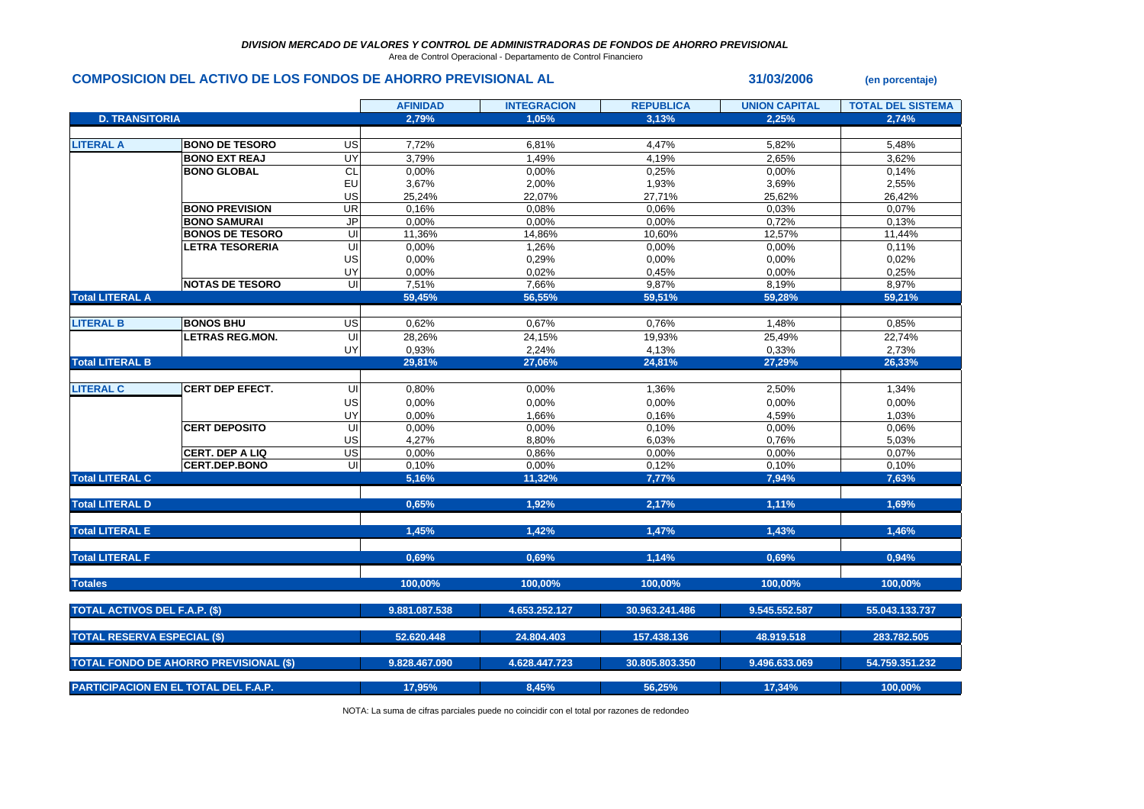Area de Control Operacional - Departamento de Control Financiero

## **COMPOSICION DEL ACTIVO DE LOS FONDOS DE AHORRO PREVISIONAL AL 31/03/2006 (en porcentaje)**

|                                      |                                               |                          | <b>AFINIDAD</b> | <b>INTEGRACION</b> | <b>REPUBLICA</b> | <b>UNION CAPITAL</b> | <b>TOTAL DEL SISTEMA</b> |
|--------------------------------------|-----------------------------------------------|--------------------------|-----------------|--------------------|------------------|----------------------|--------------------------|
| <b>D. TRANSITORIA</b>                |                                               |                          | 2,79%           | 1,05%              | 3,13%            | 2,25%                | 2,74%                    |
|                                      |                                               |                          |                 |                    |                  |                      |                          |
| <b>LITERAL A</b>                     | <b>BONO DE TESORO</b>                         | US                       | 7,72%           | 6,81%              | 4,47%            | 5,82%                | 5,48%                    |
|                                      | <b>BONO EXT REAJ</b>                          | UY                       | 3,79%           | 1,49%              | 4,19%            | 2,65%                | 3,62%                    |
|                                      | <b>BONO GLOBAL</b>                            | <b>CL</b>                | 0,00%           | 0,00%              | 0,25%            | 0,00%                | 0,14%                    |
|                                      |                                               | EU                       | 3,67%           | 2,00%              | 1,93%            | 3,69%                | 2,55%                    |
|                                      |                                               | US                       | 25,24%          | 22,07%             | 27,71%           | 25,62%               | 26,42%                   |
|                                      | <b>BONO PREVISION</b>                         | $\overline{\mathsf{UR}}$ | 0,16%           | 0.08%              | 0,06%            | 0,03%                | 0,07%                    |
|                                      | <b>BONO SAMURAI</b>                           | $\overline{J}$           | 0,00%           | 0,00%              | 0,00%            | 0,72%                | 0,13%                    |
|                                      | <b>BONOS DE TESORO</b>                        | UI                       | 11,36%          | 14,86%             | 10,60%           | 12,57%               | 11,44%                   |
|                                      | <b>LETRA TESORERIA</b>                        | ç                        | 0,00%           | 1,26%              | 0,00%            | 0,00%                | 0,11%                    |
|                                      |                                               | US                       | 0,00%           | 0,29%              | 0,00%            | 0,00%                | 0,02%                    |
|                                      |                                               | UY                       | 0,00%           | 0,02%              | 0,45%            | 0,00%                | 0,25%                    |
|                                      | <b>NOTAS DE TESORO</b>                        | $\overline{\mathsf{c}}$  | 7,51%           | 7,66%              | 9,87%            | 8,19%                | 8,97%                    |
| <b>Total LITERAL A</b>               |                                               |                          | 59,45%          | 56,55%             | 59,51%           | 59,28%               | 59,21%                   |
|                                      |                                               |                          |                 |                    |                  |                      |                          |
| <b>LITERAL B</b>                     | <b>BONOS BHU</b>                              | US                       | 0,62%           | 0,67%              | 0,76%            | 1,48%                | 0,85%                    |
|                                      | <b>LETRAS REG.MON.</b>                        | UI                       | 28,26%          | 24,15%             | 19,93%           | 25,49%               | 22,74%                   |
|                                      |                                               | UY                       | 0,93%           | 2,24%              | 4,13%            | 0,33%                | 2,73%                    |
| <b>Total LITERAL B</b>               |                                               |                          | 29,81%          | 27,06%             | 24,81%           | 27,29%               | 26,33%                   |
|                                      |                                               |                          |                 |                    |                  |                      |                          |
| <b>LITERAL C</b>                     | <b>CERT DEP EFECT.</b>                        | UI                       | 0,80%           | 0,00%              | 1,36%            | 2,50%                | 1,34%                    |
|                                      |                                               | US                       | 0,00%           | 0,00%              | 0,00%            | 0,00%                | 0,00%                    |
|                                      |                                               | UY                       | 0,00%           | 1,66%              | 0,16%            | 4,59%                | 1,03%                    |
|                                      | <b>CERT DEPOSITO</b>                          | UI                       | 0,00%           | 0,00%              | 0,10%            | 0,00%                | 0,06%                    |
|                                      |                                               | US                       | 4,27%           | 8,80%              | 6,03%            | 0,76%                | 5,03%                    |
|                                      | <b>CERT. DEP A LIQ</b>                        | US                       | 0,00%           | 0,86%              | 0,00%            | 0,00%                | 0,07%                    |
|                                      | <b>CERT.DEP.BONO</b>                          | UI                       | 0,10%           | 0,00%              | 0,12%            | 0,10%                | 0,10%                    |
| <b>Total LITERAL C</b>               |                                               |                          | 5,16%           | 11,32%             | 7,77%            | 7,94%                | 7,63%                    |
|                                      |                                               |                          |                 |                    |                  |                      |                          |
| <b>Total LITERAL D</b>               |                                               |                          | 0,65%           | 1,92%              | 2,17%            | 1,11%                | 1,69%                    |
|                                      |                                               |                          |                 |                    |                  |                      |                          |
| <b>Total LITERAL E</b>               |                                               |                          | 1,45%           | 1,42%              | 1,47%            | 1.43%                | 1,46%                    |
|                                      |                                               |                          |                 |                    |                  |                      |                          |
| <b>Total LITERAL F</b>               |                                               |                          | 0.69%           | 0.69%              | 1.14%            | 0.69%                | 0.94%                    |
|                                      |                                               |                          |                 |                    |                  |                      |                          |
| <b>Totales</b>                       |                                               |                          | 100,00%         | 100.00%            | 100,00%          | 100,00%              | 100,00%                  |
| <b>TOTAL ACTIVOS DEL F.A.P. (\$)</b> |                                               |                          | 9.881.087.538   | 4.653.252.127      | 30.963.241.486   | 9.545.552.587        | 55.043.133.737           |
|                                      |                                               |                          |                 |                    |                  |                      |                          |
| <b>TOTAL RESERVA ESPECIAL (\$)</b>   |                                               |                          | 52.620.448      | 24.804.403         | 157.438.136      | 48.919.518           | 283.782.505              |
|                                      | <b>TOTAL FONDO DE AHORRO PREVISIONAL (\$)</b> |                          | 9.828.467.090   | 4.628.447.723      | 30.805.803.350   | 9.496.633.069        | 54.759.351.232           |
|                                      |                                               |                          |                 |                    |                  |                      |                          |
|                                      | <b>PARTICIPACION EN EL TOTAL DEL F.A.P.</b>   |                          | 17,95%          | 8,45%              | 56,25%           | 17,34%               | 100,00%                  |

NOTA: La suma de cifras parciales puede no coincidir con el total por razones de redondeo